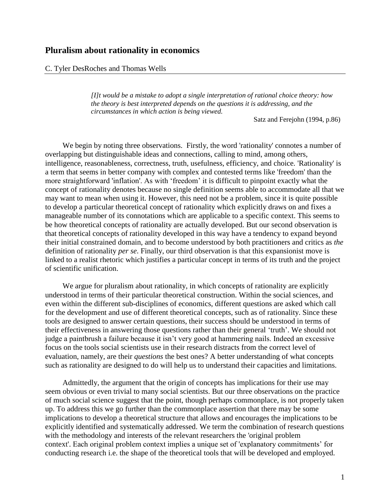## **Pluralism about rationality in economics**

C. Tyler DesRoches and Thomas Wells

*[I]t would be a mistake to adopt a single interpretation of rational choice theory: how the theory is best interpreted depends on the questions it is addressing, and the circumstances in which action is being viewed.*

Satz and Ferejohn (1994, p.86)

We begin by noting three observations. Firstly, the word 'rationality' connotes a number of overlapping but distinguishable ideas and connections, calling to mind, among others, intelligence, reasonableness, correctness, truth, usefulness, efficiency, and choice. 'Rationality' is a term that seems in better company with complex and contested terms like 'freedom' than the more straightforward 'inflation'. As with 'freedom' it is difficult to pinpoint exactly what the concept of rationality denotes because no single definition seems able to accommodate all that we may want to mean when using it. However, this need not be a problem, since it is quite possible to develop a particular theoretical concept of rationality which explicitly draws on and fixes a manageable number of its connotations which are applicable to a specific context. This seems to be how theoretical concepts of rationality are actually developed. But our second observation is that theoretical concepts of rationality developed in this way have a tendency to expand beyond their initial constrained domain, and to become understood by both practitioners and critics as *the*  definition of rationality *per se*. Finally, our third observation is that this expansionist move is linked to a realist rhetoric which justifies a particular concept in terms of its truth and the project of scientific unification.

We argue for pluralism about rationality, in which concepts of rationality are explicitly understood in terms of their particular theoretical construction. Within the social sciences, and even within the different sub-disciplines of economics, different questions are asked which call for the development and use of different theoretical concepts, such as of rationality. Since these tools are designed to answer certain questions, their success should be understood in terms of their effectiveness in answering those questions rather than their general "truth". We should not judge a paintbrush a failure because it isn't very good at hammering nails. Indeed an excessive focus on the tools social scientists use in their research distracts from the correct level of evaluation, namely, are their *questions* the best ones? A better understanding of what concepts such as rationality are designed to do will help us to understand their capacities and limitations.

Admittedly, the argument that the origin of concepts has implications for their use may seem obvious or even trivial to many social scientists. But our three observations on the practice of much social science suggest that the point, though perhaps commonplace, is not properly taken up. To address this we go further than the commonplace assertion that there may be some implications to develop a theoretical structure that allows and encourages the implications to be explicitly identified and systematically addressed. We term the combination of research questions with the methodology and interests of the relevant researchers the 'original problem context'. Each original problem context implies a unique set of 'explanatory commitments' for conducting research i.e. the shape of the theoretical tools that will be developed and employed.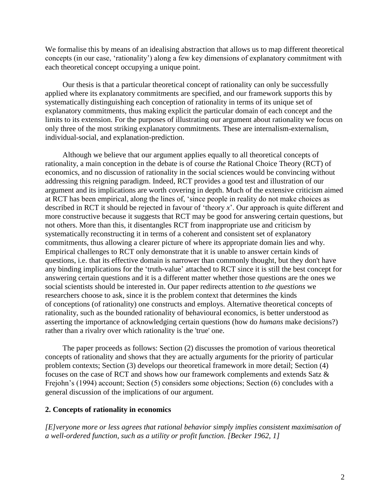We formalise this by means of an idealising abstraction that allows us to map different theoretical concepts (in our case, "rationality") along a few key dimensions of explanatory commitment with each theoretical concept occupying a unique point.

Our thesis is that a particular theoretical concept of rationality can only be successfully applied where its explanatory commitments are specified, and our framework supports this by systematically distinguishing each conception of rationality in terms of its unique set of explanatory commitments, thus making explicit the particular domain of each concept and the limits to its extension. For the purposes of illustrating our argument about rationality we focus on only three of the most striking explanatory commitments. These are internalism-externalism, individual-social, and explanation-prediction.

Although we believe that our argument applies equally to all theoretical concepts of rationality, a main conception in the debate is of course *the* Rational Choice Theory (RCT) of economics, and no discussion of rationality in the social sciences would be convincing without addressing this reigning paradigm. Indeed, RCT provides a good test and illustration of our argument and its implications are worth covering in depth. Much of the extensive criticism aimed at RCT has been empirical, along the lines of, "since people in reality do not make choices as described in RCT it should be rejected in favour of "theory *x*". Our approach is quite different and more constructive because it suggests that RCT may be good for answering certain questions, but not others. More than this, it disentangles RCT from inappropriate use and criticism by systematically reconstructing it in terms of a coherent and consistent set of explanatory commitments, thus allowing a clearer picture of where its appropriate domain lies and why. Empirical challenges to RCT only demonstrate that it is unable to answer certain kinds of questions, i.e. that its effective domain is narrower than commonly thought, but they don't have any binding implications for the "truth-value" attached to RCT since it is still the best concept for answering certain questions and it is a different matter whether those questions are the ones we social scientists should be interested in. Our paper redirects attention to *the questions* we researchers choose to ask, since it is the problem context that determines the kinds of conceptions (of rationality) one constructs and employs. Alternative theoretical concepts of rationality, such as the bounded rationality of behavioural economics, is better understood as asserting the importance of acknowledging certain questions (how do *humans* make decisions?) rather than a rivalry over which rationality is the 'true' one.

The paper proceeds as follows: Section (2) discusses the promotion of various theoretical concepts of rationality and shows that they are actually arguments for the priority of particular problem contexts; Section (3) develops our theoretical framework in more detail; Section (4) focuses on the case of RCT and shows how our framework complements and extends Satz & Frejohn's (1994) account; Section (5) considers some objections; Section (6) concludes with a general discussion of the implications of our argument.

## **2. Concepts of rationality in economics**

*[E]veryone more or less agrees that rational behavior simply implies consistent maximisation of a well-ordered function, such as a utility or profit function. [Becker 1962, 1]*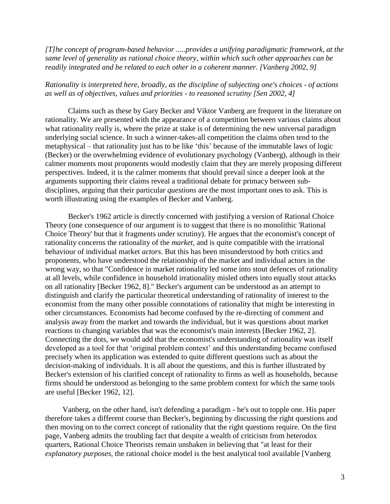*[T]he concept of program-based behavior .....provides a unifying paradigmatic framework, at the same level of generality as rational choice theory, within which such other approaches can be readily integrated and be related to each other in a coherent manner. [Vanberg 2002, 9]*

# *Rationality is interpreted here, broadly, as the discipline of subjecting one's choices - of actions as well as of objectives, values and priorities - to reasoned scrutiny [Sen 2002, 4]*

 Claims such as these by Gary Becker and Viktor Vanberg are frequent in the literature on rationality. We are presented with the appearance of a competition between various claims about what rationality really is, where the prize at stake is of determining the new universal paradigm underlying social science. In such a winner-takes-all competition the claims often tend to the metaphysical – that rationality just has to be like "this" because of the immutable laws of logic (Becker) or the overwhelming evidence of evolutionary psychology (Vanberg), although in their calmer moments most proponents would modestly claim that they are merely proposing different perspectives. Indeed, it is the calmer moments that should prevail since a deeper look at the arguments supporting their claims reveal a traditional debate for primacy between subdisciplines, arguing that their particular *questions* are the most important ones to ask. This is worth illustrating using the examples of Becker and Vanberg.

Becker's 1962 article is directly concerned with justifying a version of Rational Choice Theory (one consequence of our argument is to suggest that there is no monolithic 'Rational Choice Theory' but that it fragments under scrutiny). He argues that the economist's concept of rationality concerns the rationality of the *market*, and is quite compatible with the irrational behaviour of individual market *actors*. But this has been misunderstood by both critics and proponents, who have understood the relationship of the market and individual actors in the wrong way, so that "Confidence in market rationality led some into stout defences of rationality at all levels, while confidence in household irrationality misled others into equally stout attacks on all rationality [Becker 1962, 8]." Becker's argument can be understood as an attempt to distinguish and clarify the particular theoretical understanding of rationality of interest to the economist from the many other possible connotations of rationality that might be interesting in other circumstances. Economists had become confused by the re-directing of comment and analysis away from the market and towards the individual, but it was questions about market reactions to changing variables that was the economist's main interests [Becker 1962, 2]. Connecting the dots, we would add that the economist's understanding of rationality was itself developed as a tool for that 'original problem context' and this understanding became confused precisely when its application was extended to quite different questions such as about the decision-making of individuals. It is all about the questions, and this is further illustrated by Becker's extension of his clarified concept of rationality to firms as well as households, because firms should be understood as belonging to the same problem context for which the same tools are useful [Becker 1962, 12].

Vanberg, on the other hand, isn't defending a paradigm - he's out to topple one. His paper therefore takes a different course than Becker's, beginning by discussing the right questions and then moving on to the correct concept of rationality that the right questions require. On the first page, Vanberg admits the troubling fact that despite a wealth of criticism from heterodox quarters, Rational Choice Theorists remain unshaken in believing that "at least for their *explanatory purposes*, the rational choice model is the best analytical tool available [Vanberg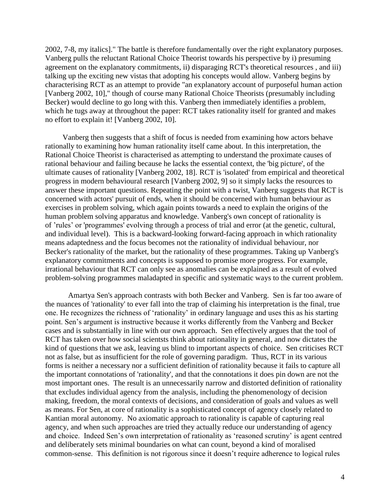2002, 7-8, my italics]." The battle is therefore fundamentally over the right explanatory purposes. Vanberg pulls the reluctant Rational Choice Theorist towards his perspective by i) presuming agreement on the explanatory commitments, ii) disparaging RCT's theoretical resources , and iii) talking up the exciting new vistas that adopting his concepts would allow. Vanberg begins by characterising RCT as an attempt to provide "an explanatory account of purposeful human action [Vanberg 2002, 10]," though of course many Rational Choice Theorists (presumably including Becker) would decline to go long with this. Vanberg then immediately identifies a problem, which he tugs away at throughout the paper: RCT takes rationality itself for granted and makes no effort to explain it! [Vanberg 2002, 10].

Vanberg then suggests that a shift of focus is needed from examining how actors behave rationally to examining how human rationality itself came about. In this interpretation, the Rational Choice Theorist is characterised as attempting to understand the proximate causes of rational behaviour and failing because he lacks the essential context, the 'big picture', of the ultimate causes of rationality [Vanberg 2002, 18]. RCT is 'isolated' from empirical and theoretical progress in modern behavioural research [Vanberg 2002, 9] so it simply lacks the resources to answer these important questions. Repeating the point with a twist, Vanberg suggests that RCT is concerned with actors' pursuit of ends, when it should be concerned with human behaviour as exercises in problem solving, which again points towards a need to explain the origins of the human problem solving apparatus and knowledge. Vanberg's own concept of rationality is of "rules" or 'programmes' evolving through a process of trial and error (at the genetic, cultural, and individual level). This is a backward-looking forward-facing approach in which rationality means adaptedness and the focus becomes not the rationality of individual behaviour, nor Becker's rationality of the market, but the rationality of these programmes. Taking up Vanberg's explanatory commitments and concepts is supposed to promise more progress. For example, irrational behaviour that RCT can only see as anomalies can be explained as a result of evolved problem-solving programmes maladapted in specific and systematic ways to the current problem.

 Amartya Sen's approach contrasts with both Becker and Vanberg. Sen is far too aware of the nuances of 'rationality' to ever fall into the trap of claiming his interpretation is the final, true one. He recognizes the richness of "rationality" in ordinary language and uses this as his starting point. Sen"s argument is instructive because it works differently from the Vanberg and Becker cases and is substantially in line with our own approach. Sen effectively argues that the tool of RCT has taken over how social scientsts think about rationality in general, and now dictates the kind of questions that we ask, leaving us blind to important aspects of choice. Sen criticises RCT not as false, but as insufficient for the role of governing paradigm. Thus, RCT in its various forms is neither a necessary nor a sufficient definition of rationality because it fails to capture all the important connotations of 'rationality', and that the connotations it does pin down are not the most important ones. The result is an unnecessarily narrow and distorted definition of rationality that excludes individual agency from the analysis, including the phenomenology of decision making, freedom, the moral contexts of decisions, and consideration of goals and values as well as means. For Sen, at core of rationality is a sophisticated concept of agency closely related to Kantian moral autonomy. No axiomatic approach to rationality is capable of capturing real agency, and when such approaches are tried they actually reduce our understanding of agency and choice. Indeed Sen"s own interpretation of rationality as "reasoned scrutiny" is agent centred and deliberately sets minimal boundaries on what can count, beyond a kind of moralised common-sense. This definition is not rigorous since it doesn"t require adherence to logical rules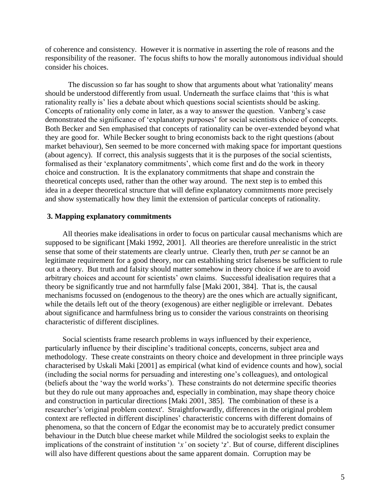of coherence and consistency. However it is normative in asserting the role of reasons and the responsibility of the reasoner. The focus shifts to how the morally autonomous individual should consider his choices.

 The discussion so far has sought to show that arguments about what 'rationality' means should be understood differently from usual. Underneath the surface claims that "this is what rationality really is' lies a debate about which questions social scientists should be asking. Concepts of rationality only come in later, as a way to answer the question. Vanberg's case demonstrated the significance of 'explanatory purposes' for social scientists choice of concepts. Both Becker and Sen emphasised that concepts of rationality can be over-extended beyond what they are good for. While Becker sought to bring economists back to the right questions (about market behaviour), Sen seemed to be more concerned with making space for important questions (about agency). If correct, this analysis suggests that it is the purposes of the social scientists, formalised as their 'explanatory commitments', which come first and do the work in theory choice and construction. It is the explanatory commitments that shape and constrain the theoretical concepts used, rather than the other way around. The next step is to embed this idea in a deeper theoretical structure that will define explanatory commitments more precisely and show systematically how they limit the extension of particular concepts of rationality.

#### **3. Mapping explanatory commitments**

All theories make idealisations in order to focus on particular causal mechanisms which are supposed to be significant [Maki 1992, 2001]. All theories are therefore unrealistic in the strict sense that some of their statements are clearly untrue. Clearly then, truth *per se* cannot be an legitimate requirement for a good theory, nor can establishing strict falseness be sufficient to rule out a theory. But truth and falsity should matter somehow in theory choice if we are to avoid arbitrary choices and account for scientists" own claims. Successful idealisation requires that a theory be significantly true and not harmfully false [Maki 2001, 384]. That is, the causal mechanisms focussed on (endogenous to the theory) are the ones which are actually significant, while the details left out of the theory (exogenous) are either negligible or irrelevant. Debates about significance and harmfulness bring us to consider the various constraints on theorising characteristic of different disciplines.

Social scientists frame research problems in ways influenced by their experience, particularly influence by their discipline"s traditional concepts, concerns, subject area and methodology. These create constraints on theory choice and development in three principle ways characterised by Uskali Maki [2001] as empirical (what kind of evidence counts and how), social (including the social norms for persuading and interesting one"s colleagues), and ontological (beliefs about the "way the world works"). These constraints do not determine specific theories but they do rule out many approaches and, especially in combination, may shape theory choice and construction in particular directions [Maki 2001, 385]. The combination of these is a researcher"s 'original problem context'. Straightforwardly, differences in the original problem context are reflected in different disciplines" characteristic concerns with different domains of phenomena, so that the concern of Edgar the economist may be to accurately predict consumer behaviour in the Dutch blue cheese market while Mildred the sociologist seeks to explain the implications of the constraint of institution '*x*' on society '*z*'. But of course, different disciplines will also have different questions about the same apparent domain. Corruption may be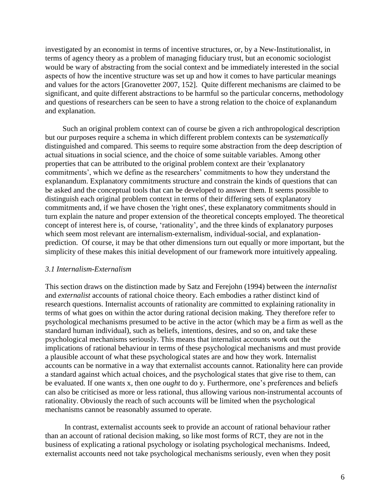investigated by an economist in terms of incentive structures, or, by a New-Institutionalist, in terms of agency theory as a problem of managing fiduciary trust, but an economic sociologist would be wary of abstracting from the social context and be immediately interested in the social aspects of how the incentive structure was set up and how it comes to have particular meanings and values for the actors [Granovetter 2007, 152]. Quite different mechanisms are claimed to be significant, and quite different abstractions to be harmful so the particular concerns, methodology and questions of researchers can be seen to have a strong relation to the choice of explanandum and explanation.

Such an original problem context can of course be given a rich anthropological description but our purposes require a schema in which different problem contexts can be *systematically* distinguished and compared. This seems to require some abstraction from the deep description of actual situations in social science, and the choice of some suitable variables. Among other properties that can be attributed to the original problem context are their 'explanatory commitments', which we define as the researchers' commitments to how they understand the explanandum. Explanatory commitments structure and constrain the kinds of questions that can be asked and the conceptual tools that can be developed to answer them. It seems possible to distinguish each original problem context in terms of their differing sets of explanatory commitments and, if we have chosen the 'right ones', these explanatory commitments should in turn explain the nature and proper extension of the theoretical concepts employed. The theoretical concept of interest here is, of course, "rationality", and the three kinds of explanatory purposes which seem most relevant are internalism-externalism, individual-social, and explanationprediction. Of course, it may be that other dimensions turn out equally or more important, but the simplicity of these makes this initial development of our framework more intuitively appealing.

## *3.1 Internalism-Externalism*

This section draws on the distinction made by Satz and Ferejohn (1994) between the *internalist* and *externalist* accounts of rational choice theory. Each embodies a rather distinct kind of research questions. Internalist accounts of rationality are committed to explaining rationality in terms of what goes on within the actor during rational decision making. They therefore refer to psychological mechanisms presumed to be active in the actor (which may be a firm as well as the standard human individual), such as beliefs, intentions, desires, and so on, and take these psychological mechanisms seriously. This means that internalist accounts work out the implications of rational behaviour in terms of these psychological mechanisms and must provide a plausible account of what these psychological states are and how they work. Internalist accounts can be normative in a way that externalist accounts cannot. Rationality here can provide a standard against which actual choices, and the psychological states that give rise to them, can be evaluated. If one wants x, then one *ought* to do y. Furthermore, one"s preferences and beliefs can also be criticised as more or less rational, thus allowing various non-instrumental accounts of rationality. Obviously the reach of such accounts will be limited when the psychological mechanisms cannot be reasonably assumed to operate.

In contrast, externalist accounts seek to provide an account of rational behaviour rather than an account of rational decision making, so like most forms of RCT, they are not in the business of explicating a rational psychology or isolating psychological mechanisms. Indeed, externalist accounts need not take psychological mechanisms seriously, even when they posit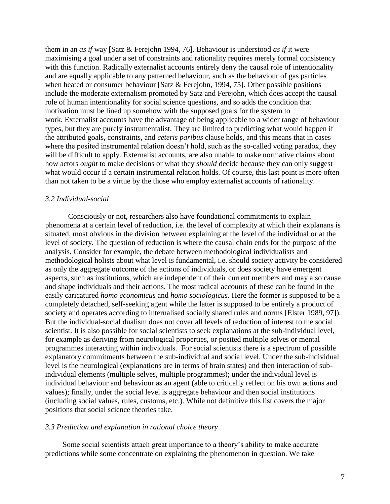them in an *as if* way [Satz & Ferejohn 1994, 76]. Behaviour is understood *as if* it were maximising a goal under a set of constraints and rationality requires merely formal consistency with this function. Radically externalist accounts entirely deny the causal role of intentionality and are equally applicable to any patterned behaviour, such as the behaviour of gas particles when heated or consumer behaviour [Satz & Ferejohn, 1994, 75]. Other possible positions include the moderate externalism promoted by Satz and Ferejohn, which does accept the causal role of human intentionality for social science questions, and so adds the condition that motivation must be lined up somehow with the supposed goals for the system to work. Externalist accounts have the advantage of being applicable to a wider range of behaviour types, but they are purely instrumentalist. They are limited to predicting what would happen if the attributed goals, constraints, and *ceteris paribus* clause holds, and this means that in cases where the posited instrumental relation doesn't hold, such as the so-called voting paradox, they will be difficult to apply. Externalist accounts, are also unable to make normative claims about how actors *ought* to make decisions or what they *should* decide because they can only suggest what would occur if a certain instrumental relation holds. Of course, this last point is more often than not taken to be a virtue by the those who employ externalist accounts of rationality.

### *3.2 Individual-social*

Consciously or not, researchers also have foundational commitments to explain phenomena at a certain level of reduction, i.e. the level of complexity at which their explanans is situated, most obvious in the division between explaining at the level of the individual or at the level of society. The question of reduction is where the causal chain ends for the purpose of the analysis. Consider for example, the debate between methodological individualists and methodological holists about what level is fundamental, i.e. should society activity be considered as only the aggregate outcome of the actions of individuals, or does society have emergent aspects, such as institutions, which are independent of their current members and may also cause and shape individuals and their actions. The most radical accounts of these can be found in the easily caricatured *homo economicus* and *homo sociologicus*. Here the former is supposed to be a completely detached, self-seeking agent while the latter is supposed to be entirely a product of society and operates according to internalised socially shared rules and norms [Elster 1989, 97]). But the individual-social dualism does not cover all levels of reduction of interest to the social scientist. It is also possible for social scientists to seek explanations at the sub-individual level, for example as deriving from neurological properties, or posited multiple selves or mental programmes interacting within individuals. For social scientists there is a spectrum of possible explanatory commitments between the sub-individual and social level. Under the sub-individual level is the neurological (explanations are in terms of brain states) and then interaction of subindividual elements (multiple selves, multiple programmes); under the individual level is individual behaviour and behaviour as an agent (able to critically reflect on his own actions and values); finally, under the social level is aggregate behaviour and then social institutions (including social values, rules, customs, etc.). While not definitive this list covers the major positions that social science theories take.

### *3.3 Prediction and explanation in rational choice theory*

Some social scientists attach great importance to a theory"s ability to make accurate predictions while some concentrate on explaining the phenomenon in question. We take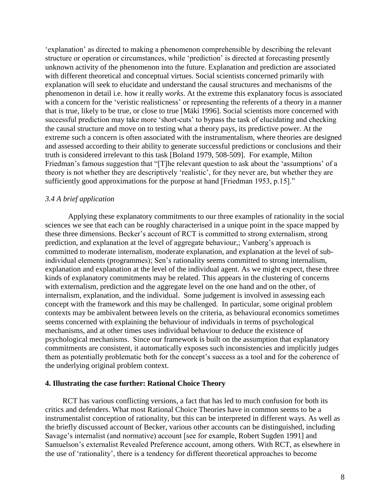"explanation" as directed to making a phenomenon comprehensible by describing the relevant structure or operation or circumstances, while "prediction" is directed at forecasting presently unknown activity of the phenomenon into the future. Explanation and prediction are associated with different theoretical and conceptual virtues. Social scientists concerned primarily with explanation will seek to elucidate and understand the causal structures and mechanisms of the phenomenon in detail i.e. how it really *works*. At the extreme this explanatory focus is associated with a concern for the 'veristic realisticness' or representing the referents of a theory in a manner that is true, likely to be true, or close to true [Mäki 1996]. Social scientists more concerned with successful prediction may take more 'short-cuts' to bypass the task of elucidating and checking the causal structure and move on to testing what a theory pays, its predictive power. At the extreme such a concern is often associated with the instrumentalism, where theories are designed and assessed according to their ability to generate successful predictions or conclusions and their truth is considered irrelevant to this task [Boland 1979, 508-509]. For example, Milton Friedman's famous suggestion that "[T]he relevant question to ask about the 'assumptions' of a theory is not whether they are descriptively "realistic", for they never are, but whether they are sufficiently good approximations for the purpose at hand [Friedman 1953, p.15]."

## *3.4 A brief application*

Applying these explanatory commitments to our three examples of rationality in the social sciences we see that each can be roughly characterised in a unique point in the space mapped by these three dimensions. Becker"s account of RCT is committed to strong externalism, strong prediction, and explanation at the level of aggregate behaviour,; Vanberg's approach is committed to moderate internalism, moderate explanation, and explanation at the level of subindividual elements (programmes); Sen's rationality seems committed to strong internalism, explanation and explanation at the level of the individual agent. As we might expect, these three kinds of explanatory commitments may be related. This appears in the clustering of concerns with externalism, prediction and the aggregate level on the one hand and on the other, of internalism, explanation, and the individual. Some judgement is involved in assessing each concept with the framework and this may be challenged. In particular, some original problem contexts may be ambivalent between levels on the criteria, as behavioural economics sometimes seems concerned with explaining the behaviour of individuals in terms of psychological mechanisms, and at other times uses individual behaviour to deduce the existence of psychological mechanisms. Since our framework is built on the assumption that explanatory commitments are consistent, it automatically exposes such inconsistencies and implicitly judges them as potentially problematic both for the concept's success as a tool and for the coherence of the underlying original problem context.

## **4. Illustrating the case further: Rational Choice Theory**

RCT has various conflicting versions, a fact that has led to much confusion for both its critics and defenders. What most Rational Choice Theories have in common seems to be a instrumentalist conception of rationality, but this can be interpreted in different ways. As well as the briefly discussed account of Becker, various other accounts can be distinguished, including Savage's internalist (and normative) account [see for example, Robert Sugden 1991] and Samuelson"s externalist Revealed Preference account, among others. With RCT, as elsewhere in the use of "rationality", there is a tendency for different theoretical approaches to become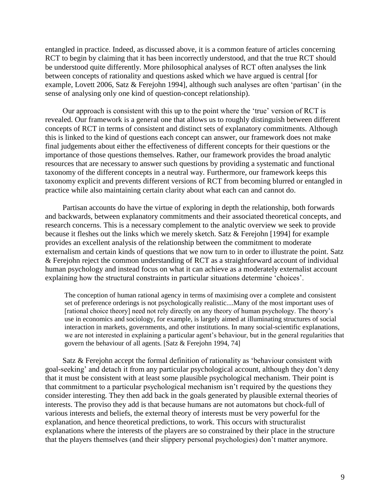entangled in practice. Indeed, as discussed above, it is a common feature of articles concerning RCT to begin by claiming that it has been incorrectly understood, and that the true RCT should be understood quite differently. More philosophical analyses of RCT often analyses the link between concepts of rationality and questions asked which we have argued is central [for example, Lovett 2006, Satz & Ferejohn 1994], although such analyses are often "partisan" (in the sense of analysing only one kind of question-concept relationship).

Our approach is consistent with this up to the point where the "true" version of RCT is revealed. Our framework is a general one that allows us to roughly distinguish between different concepts of RCT in terms of consistent and distinct sets of explanatory commitments. Although this is linked to the kind of questions each concept can answer, our framework does not make final judgements about either the effectiveness of different concepts for their questions or the importance of those questions themselves. Rather, our framework provides the broad analytic resources that are necessary to answer such questions by providing a systematic and functional taxonomy of the different concepts in a neutral way. Furthermore, our framework keeps this taxonomy explicit and prevents different versions of RCT from becoming blurred or entangled in practice while also maintaining certain clarity about what each can and cannot do.

Partisan accounts do have the virtue of exploring in depth the relationship, both forwards and backwards, between explanatory commitments and their associated theoretical concepts, and research concerns. This is a necessary complement to the analytic overview we seek to provide because it fleshes out the links which we merely sketch. Satz & Ferejohn [1994] for example provides an excellent analysis of the relationship between the commitment to moderate externalism and certain kinds of questions that we now turn to in order to illustrate the point. Satz & Ferejohn reject the common understanding of RCT as a straightforward account of individual human psychology and instead focus on what it can achieve as a moderately externalist account explaining how the structural constraints in particular situations determine "choices".

The conception of human rational agency in terms of maximising over a complete and consistent set of preference orderings is not psychologically realistic....Many of the most important uses of [rational choice theory] need not rely directly on any theory of human psychology. The theory's use in economics and sociology, for example, is largely aimed at illuminating structures of social interaction in markets, governments, and other institutions. In many social-scientific explanations, we are not interested in explaining a particular agent's behaviour, but in the general regularities that govern the behaviour of all agents. [Satz & Ferejohn 1994, 74]

Satz & Ferejohn accept the formal definition of rationality as "behaviour consistent with goal-seeking' and detach it from any particular psychological account, although they don't deny that it must be consistent with at least some plausible psychological mechanism. Their point is that commitment to a particular psychological mechanism isn"t required by the questions they consider interesting. They then add back in the goals generated by plausible external theories of interests. The proviso they add is that because humans are not automatons but chock-full of various interests and beliefs, the external theory of interests must be very powerful for the explanation, and hence theoretical predictions, to work. This occurs with structuralist explanations where the interests of the players are so constrained by their place in the structure that the players themselves (and their slippery personal psychologies) don"t matter anymore.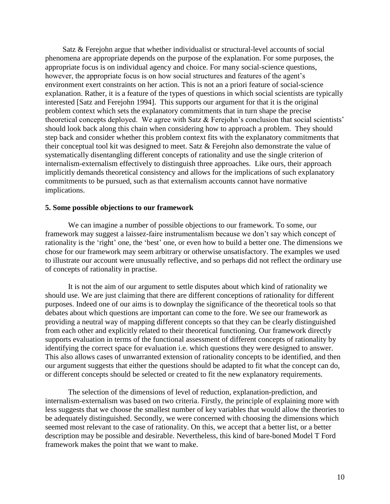Satz & Ferejohn argue that whether individualist or structural-level accounts of social phenomena are appropriate depends on the purpose of the explanation. For some purposes, the appropriate focus is on individual agency and choice. For many social-science questions, however, the appropriate focus is on how social structures and features of the agent's environment exert constraints on her action. This is not an a priori feature of social-science explanation. Rather, it is a feature of the types of questions in which social scientists are typically interested [Satz and Ferejohn 1994]. This supports our argument for that it is the original problem context which sets the explanatory commitments that in turn shape the precise theoretical concepts deployed. We agree with Satz  $\&$  Ferejohn's conclusion that social scientists' should look back along this chain when considering how to approach a problem. They should step back and consider whether this problem context fits with the explanatory commitments that their conceptual tool kit was designed to meet. Satz & Ferejohn also demonstrate the value of systematically disentangling different concepts of rationality and use the single criterion of internalism-externalism effectively to distinguish three approaches. Like ours, their approach implicitly demands theoretical consistency and allows for the implications of such explanatory commitments to be pursued, such as that externalism accounts cannot have normative implications.

#### **5. Some possible objections to our framework**

We can imagine a number of possible objections to our framework. To some, our framework may suggest a laissez-faire instrumentalism because we don"t say which concept of rationality is the 'right' one, the 'best' one, or even how to build a better one. The dimensions we chose for our framework may seem arbitrary or otherwise unsatisfactory. The examples we used to illustrate our account were unusually reflective, and so perhaps did not reflect the ordinary use of concepts of rationality in practise.

It is not the aim of our argument to settle disputes about which kind of rationality we should use. We are just claiming that there are different conceptions of rationality for different purposes. Indeed one of our aims is to downplay the significance of the theoretical tools so that debates about which questions are important can come to the fore. We see our framework as providing a neutral way of mapping different concepts so that they can be clearly distinguished from each other and explicitly related to their theoretical functioning. Our framework directly supports evaluation in terms of the functional assessment of different concepts of rationality by identifying the correct space for evaluation i.e. which questions they were designed to answer. This also allows cases of unwarranted extension of rationality concepts to be identified, and then our argument suggests that either the questions should be adapted to fit what the concept can do, or different concepts should be selected or created to fit the new explanatory requirements.

The selection of the dimensions of level of reduction, explanation-prediction, and internalism-externalism was based on two criteria. Firstly, the principle of explaining more with less suggests that we choose the smallest number of key variables that would allow the theories to be adequately distinguished. Secondly, we were concerned with choosing the dimensions which seemed most relevant to the case of rationality. On this, we accept that a better list, or a better description may be possible and desirable. Nevertheless, this kind of bare-boned Model T Ford framework makes the point that we want to make.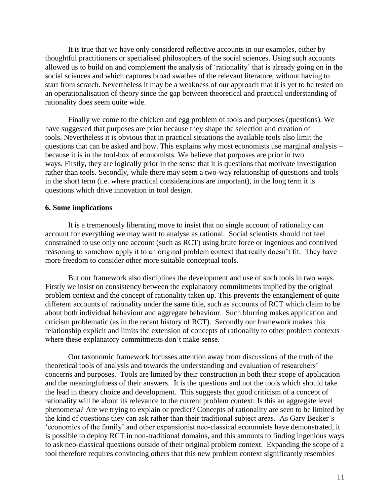It is true that we have only considered reflective accounts in our examples, either by thoughtful practitioners or specialised philosophers of the social sciences. Using such accounts allowed us to build on and complement the analysis of "rationality" that is already going on in the social sciences and which captures broad swathes of the relevant literature, without having to start from scratch. Nevertheless it may be a weakness of our approach that it is yet to be tested on an operationalisation of theory since the gap between theoretical and practical understanding of rationality does seem quite wide.

Finally we come to the chicken and egg problem of tools and purposes (questions). We have suggested that purposes are prior because they shape the selection and creation of tools. Nevertheless it is obvious that in practical situations the available tools also limit the questions that can be asked and how. This explains why most economists use marginal analysis – because it is in the tool-box of economists. We believe that purposes are prior in two ways. Firstly, they are logically prior in the sense that it is questions that motivate investigation rather than tools. Secondly, while there may seem a two-way relationship of questions and tools in the short term (i.e. where practical considerations are important), in the long term it is questions which drive innovation in tool design.

### **6. Some implications**

It is a tremenously liberating move to insist that no single account of rationality can account for everything we may want to analyse as rational. Social scientists should not feel constrained to use only one account (such as RCT) using brute force or ingenious and contrived reasoning to somehow apply it to an original problem context that really doesn"t fit. They have more freedom to consider other more suitable conceptual tools.

But our framework also disciplines the development and use of such tools in two ways. Firstly we insist on consistency between the explanatory commitments implied by the original problem context and the concept of rationality taken up. This prevents the entanglement of quite different accounts of rationality under the same title, such as accounts of RCT which claim to be about both individual behaviour and aggregate behaviour. Such blurring makes application and crticism problematic (as in the recent history of RCT). Secondly our framework makes this relationship explicit and limits the extension of concepts of rationality to other problem contexts where these explanatory commitments don't make sense.

Our taxonomic framework focusses attention away from discussions of the truth of the theoretical tools of analysis and towards the understanding and evaluation of researchers" concerns and purposes. Tools are limited by their construction in both their scope of application and the meaningfulness of their answers. It is the questions and not the tools which should take the lead in theory choice and development. This suggests that good criticism of a concept of rationality will be about its relevance to the current problem context: Is this an aggregate level phenomena? Are we trying to explain or predict? Concepts of rationality are seen to be limited by the kind of questions they can ask rather than their traditional subject areas. As Gary Becker"s "economics of the family" and other expansionist neo-classical economists have demonstrated, it is possible to deploy RCT in non-traditional domains, and this amounts to finding ingenious ways to ask neo-classical questions outside of their original problem context. Expanding the scope of a tool therefore requires convincing others that this new problem context significantly resembles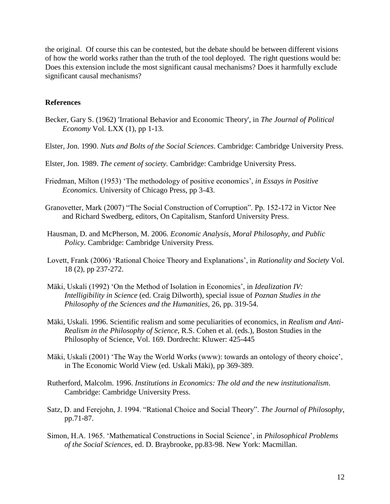the original. Of course this can be contested, but the debate should be between different visions of how the world works rather than the truth of the tool deployed. The right questions would be: Does this extension include the most significant causal mechanisms? Does it harmfully exclude significant causal mechanisms?

## **References**

- Becker, Gary S. (1962) 'Irrational Behavior and Economic Theory', in *The Journal of Political Economy* Vol. LXX (1), pp 1-13.
- Elster, Jon. 1990. *Nuts and Bolts of the Social Sciences*. Cambridge: Cambridge University Press.
- Elster, Jon. 1989. *The cement of society.* Cambridge: Cambridge University Press.
- Friedman, Milton (1953) "The methodology of positive economics", *in Essays in Positive Economics.* University of Chicago Press, pp 3-43.
- Granovetter, Mark (2007) "The Social Construction of Corruption". Pp. 152-172 in Victor Nee and Richard Swedberg, editors, On Capitalism, Stanford University Press.
- Hausman, D. and McPherson, M. 2006. *Economic Analysis, Moral Philosophy, and Public Policy.* Cambridge: Cambridge University Press.
- Lovett, Frank (2006) "Rational Choice Theory and Explanations", in *Rationality and Society* Vol. 18 (2), pp 237-272.
- Mäki, Uskali (1992) "On the Method of Isolation in Economics", in *Idealization IV: Intelligibility in Science* (ed. Craig Dilworth), special issue of *Poznan Studies in the Philosophy of the Sciences and the Humanities,* 26, pp. 319-54.
- Mäki, Uskali. 1996. Scientific realism and some peculiarities of economics, in *Realism and Anti-Realism in the Philosophy of Science*, R.S. Cohen et al. (eds.), Boston Studies in the Philosophy of Science, Vol. 169. Dordrecht: Kluwer: 425-445
- Mäki, Uskali (2001) "The Way the World Works (www): towards an ontology of theory choice", in The Economic World View (ed. Uskali Mäki), pp 369-389.
- Rutherford, Malcolm. 1996. *Institutions in Economics: The old and the new institutionalism*. Cambridge: Cambridge University Press.
- Satz, D. and Ferejohn, J. 1994. "Rational Choice and Social Theory". *The Journal of Philosophy*, pp.71-87.
- Simon, H.A. 1965. "Mathematical Constructions in Social Science", in *Philosophical Problems of the Social Sciences*, ed. D. Braybrooke, pp.83-98. New York: Macmillan.